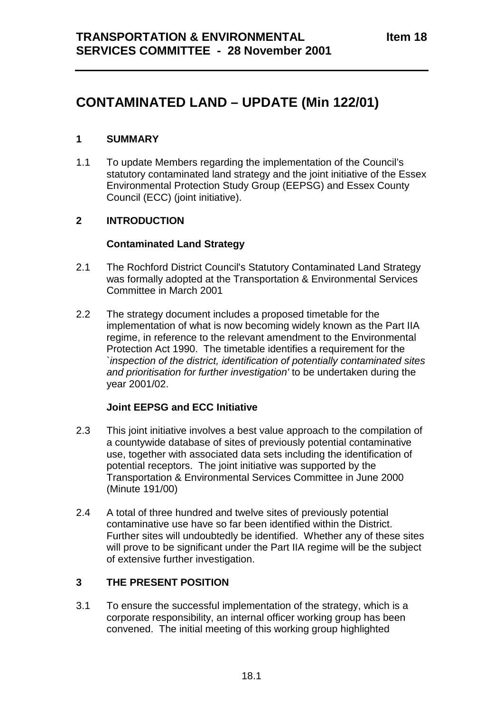# **CONTAMINATED LAND – UPDATE (Min 122/01)**

## **1 SUMMARY**

1.1 To update Members regarding the implementation of the Council's statutory contaminated land strategy and the joint initiative of the Essex Environmental Protection Study Group (EEPSG) and Essex County Council (ECC) (joint initiative).

## **2 INTRODUCTION**

#### **Contaminated Land Strategy**

- 2.1 The Rochford District Council's Statutory Contaminated Land Strategy was formally adopted at the Transportation & Environmental Services Committee in March 2001
- 2.2 The strategy document includes a proposed timetable for the implementation of what is now becoming widely known as the Part IIA regime, in reference to the relevant amendment to the Environmental Protection Act 1990. The timetable identifies a requirement for the `*inspection of the district, identification of potentially contaminated sites and prioritisation for further investigation'* to be undertaken during the year 2001/02.

#### **Joint EEPSG and ECC Initiative**

- 2.3 This joint initiative involves a best value approach to the compilation of a countywide database of sites of previously potential contaminative use, together with associated data sets including the identification of potential receptors. The joint initiative was supported by the Transportation & Environmental Services Committee in June 2000 (Minute 191/00)
- 2.4 A total of three hundred and twelve sites of previously potential contaminative use have so far been identified within the District. Further sites will undoubtedly be identified. Whether any of these sites will prove to be significant under the Part IIA regime will be the subject of extensive further investigation.

#### **3 THE PRESENT POSITION**

3.1 To ensure the successful implementation of the strategy, which is a corporate responsibility, an internal officer working group has been convened. The initial meeting of this working group highlighted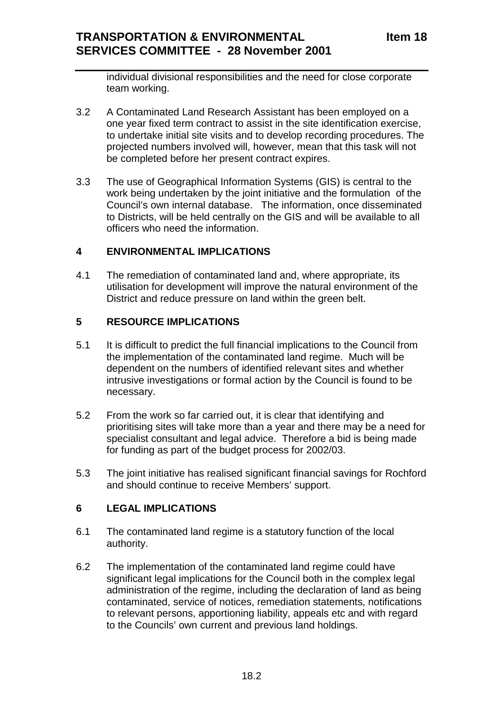individual divisional responsibilities and the need for close corporate team working.

- 3.2 A Contaminated Land Research Assistant has been employed on a one year fixed term contract to assist in the site identification exercise, to undertake initial site visits and to develop recording procedures. The projected numbers involved will, however, mean that this task will not be completed before her present contract expires.
- 3.3 The use of Geographical Information Systems (GIS) is central to the work being undertaken by the joint initiative and the formulation of the Council's own internal database. The information, once disseminated to Districts, will be held centrally on the GIS and will be available to all officers who need the information.

## **4 ENVIRONMENTAL IMPLICATIONS**

4.1 The remediation of contaminated land and, where appropriate, its utilisation for development will improve the natural environment of the District and reduce pressure on land within the green belt.

## **5 RESOURCE IMPLICATIONS**

- 5.1 It is difficult to predict the full financial implications to the Council from the implementation of the contaminated land regime. Much will be dependent on the numbers of identified relevant sites and whether intrusive investigations or formal action by the Council is found to be necessary.
- 5.2 From the work so far carried out, it is clear that identifying and prioritising sites will take more than a year and there may be a need for specialist consultant and legal advice. Therefore a bid is being made for funding as part of the budget process for 2002/03.
- 5.3 The joint initiative has realised significant financial savings for Rochford and should continue to receive Members' support.

#### **6 LEGAL IMPLICATIONS**

- 6.1 The contaminated land regime is a statutory function of the local authority.
- 6.2 The implementation of the contaminated land regime could have significant legal implications for the Council both in the complex legal administration of the regime, including the declaration of land as being contaminated, service of notices, remediation statements, notifications to relevant persons, apportioning liability, appeals etc and with regard to the Councils' own current and previous land holdings.